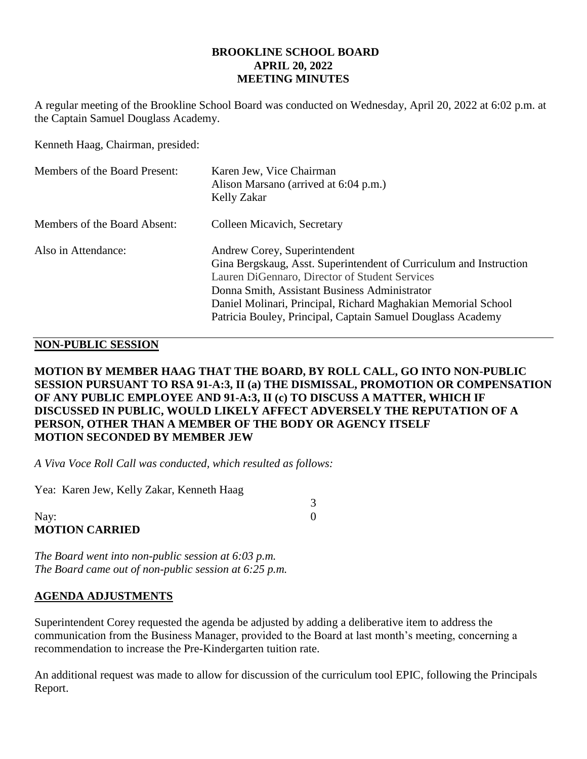### **BROOKLINE SCHOOL BOARD APRIL 20, 2022 MEETING MINUTES**

A regular meeting of the Brookline School Board was conducted on Wednesday, April 20, 2022 at 6:02 p.m. at the Captain Samuel Douglass Academy.

Kenneth Haag, Chairman, presided:

| Members of the Board Present: | Karen Jew, Vice Chairman<br>Alison Marsano (arrived at 6:04 p.m.)<br>Kelly Zakar                                                                                                                                                                                                                                                      |
|-------------------------------|---------------------------------------------------------------------------------------------------------------------------------------------------------------------------------------------------------------------------------------------------------------------------------------------------------------------------------------|
| Members of the Board Absent:  | Colleen Micavich, Secretary                                                                                                                                                                                                                                                                                                           |
| Also in Attendance:           | Andrew Corey, Superintendent<br>Gina Bergskaug, Asst. Superintendent of Curriculum and Instruction<br>Lauren DiGennaro, Director of Student Services<br>Donna Smith, Assistant Business Administrator<br>Daniel Molinari, Principal, Richard Maghakian Memorial School<br>Patricia Bouley, Principal, Captain Samuel Douglass Academy |

## **NON-PUBLIC SESSION**

## **MOTION BY MEMBER HAAG THAT THE BOARD, BY ROLL CALL, GO INTO NON-PUBLIC SESSION PURSUANT TO RSA 91-A:3, II (a) THE DISMISSAL, PROMOTION OR COMPENSATION OF ANY PUBLIC EMPLOYEE AND 91-A:3, II (c) TO DISCUSS A MATTER, WHICH IF DISCUSSED IN PUBLIC, WOULD LIKELY AFFECT ADVERSELY THE REPUTATION OF A PERSON, OTHER THAN A MEMBER OF THE BODY OR AGENCY ITSELF MOTION SECONDED BY MEMBER JEW**

3

*A Viva Voce Roll Call was conducted, which resulted as follows:*

Yea: Karen Jew, Kelly Zakar, Kenneth Haag

Nay: 0 **MOTION CARRIED**

*The Board went into non-public session at 6:03 p.m. The Board came out of non-public session at 6:25 p.m.*

## **AGENDA ADJUSTMENTS**

Superintendent Corey requested the agenda be adjusted by adding a deliberative item to address the communication from the Business Manager, provided to the Board at last month's meeting, concerning a recommendation to increase the Pre-Kindergarten tuition rate.

An additional request was made to allow for discussion of the curriculum tool EPIC, following the Principals Report.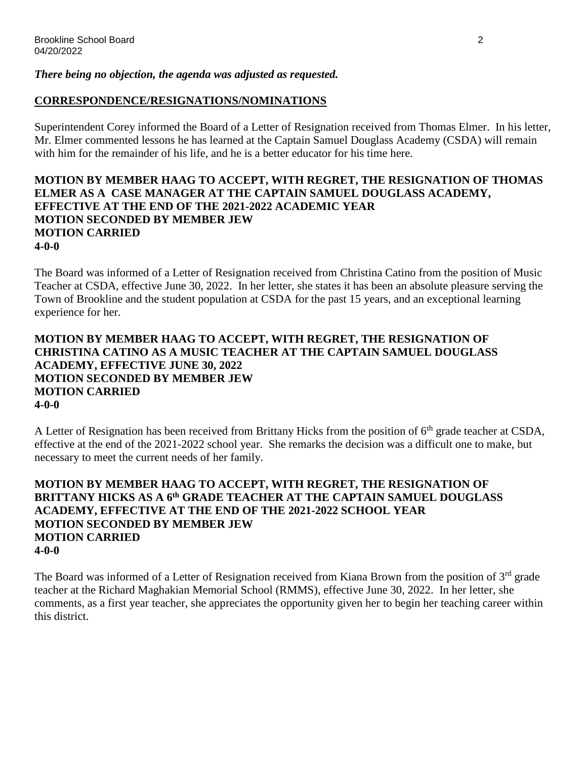### *There being no objection, the agenda was adjusted as requested.*

## **CORRESPONDENCE/RESIGNATIONS/NOMINATIONS**

Superintendent Corey informed the Board of a Letter of Resignation received from Thomas Elmer. In his letter, Mr. Elmer commented lessons he has learned at the Captain Samuel Douglass Academy (CSDA) will remain with him for the remainder of his life, and he is a better educator for his time here.

#### **MOTION BY MEMBER HAAG TO ACCEPT, WITH REGRET, THE RESIGNATION OF THOMAS ELMER AS A CASE MANAGER AT THE CAPTAIN SAMUEL DOUGLASS ACADEMY, EFFECTIVE AT THE END OF THE 2021-2022 ACADEMIC YEAR MOTION SECONDED BY MEMBER JEW MOTION CARRIED 4-0-0**

The Board was informed of a Letter of Resignation received from Christina Catino from the position of Music Teacher at CSDA, effective June 30, 2022. In her letter, she states it has been an absolute pleasure serving the Town of Brookline and the student population at CSDA for the past 15 years, and an exceptional learning experience for her.

## **MOTION BY MEMBER HAAG TO ACCEPT, WITH REGRET, THE RESIGNATION OF CHRISTINA CATINO AS A MUSIC TEACHER AT THE CAPTAIN SAMUEL DOUGLASS ACADEMY, EFFECTIVE JUNE 30, 2022 MOTION SECONDED BY MEMBER JEW MOTION CARRIED 4-0-0**

A Letter of Resignation has been received from Brittany Hicks from the position of 6<sup>th</sup> grade teacher at CSDA, effective at the end of the 2021-2022 school year. She remarks the decision was a difficult one to make, but necessary to meet the current needs of her family.

### **MOTION BY MEMBER HAAG TO ACCEPT, WITH REGRET, THE RESIGNATION OF BRITTANY HICKS AS A 6th GRADE TEACHER AT THE CAPTAIN SAMUEL DOUGLASS ACADEMY, EFFECTIVE AT THE END OF THE 2021-2022 SCHOOL YEAR MOTION SECONDED BY MEMBER JEW MOTION CARRIED 4-0-0**

The Board was informed of a Letter of Resignation received from Kiana Brown from the position of 3<sup>rd</sup> grade teacher at the Richard Maghakian Memorial School (RMMS), effective June 30, 2022. In her letter, she comments, as a first year teacher, she appreciates the opportunity given her to begin her teaching career within this district.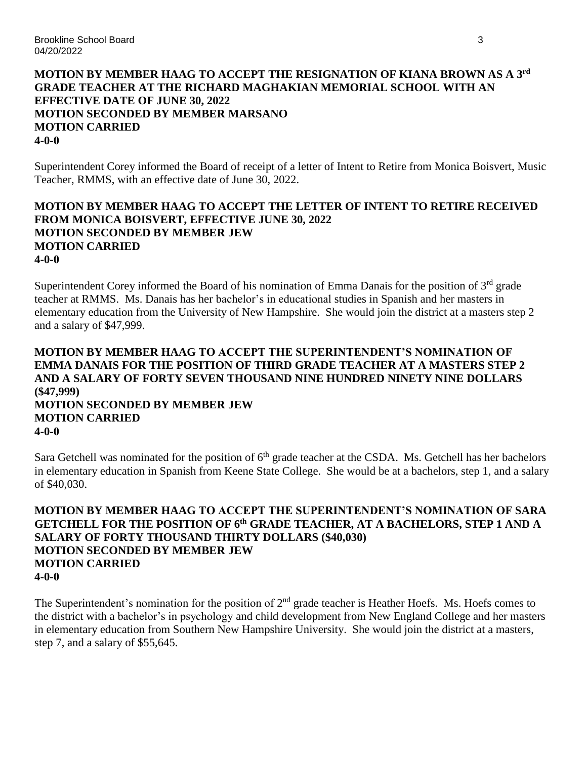## **MOTION BY MEMBER HAAG TO ACCEPT THE RESIGNATION OF KIANA BROWN AS A 3rd GRADE TEACHER AT THE RICHARD MAGHAKIAN MEMORIAL SCHOOL WITH AN EFFECTIVE DATE OF JUNE 30, 2022 MOTION SECONDED BY MEMBER MARSANO MOTION CARRIED 4-0-0**

Superintendent Corey informed the Board of receipt of a letter of Intent to Retire from Monica Boisvert, Music Teacher, RMMS, with an effective date of June 30, 2022.

### **MOTION BY MEMBER HAAG TO ACCEPT THE LETTER OF INTENT TO RETIRE RECEIVED FROM MONICA BOISVERT, EFFECTIVE JUNE 30, 2022 MOTION SECONDED BY MEMBER JEW MOTION CARRIED 4-0-0**

Superintendent Corey informed the Board of his nomination of Emma Danais for the position of  $3<sup>rd</sup>$  grade teacher at RMMS. Ms. Danais has her bachelor's in educational studies in Spanish and her masters in elementary education from the University of New Hampshire. She would join the district at a masters step 2 and a salary of \$47,999.

## **MOTION BY MEMBER HAAG TO ACCEPT THE SUPERINTENDENT'S NOMINATION OF EMMA DANAIS FOR THE POSITION OF THIRD GRADE TEACHER AT A MASTERS STEP 2 AND A SALARY OF FORTY SEVEN THOUSAND NINE HUNDRED NINETY NINE DOLLARS (\$47,999) MOTION SECONDED BY MEMBER JEW MOTION CARRIED 4-0-0**

Sara Getchell was nominated for the position of 6<sup>th</sup> grade teacher at the CSDA. Ms. Getchell has her bachelors in elementary education in Spanish from Keene State College. She would be at a bachelors, step 1, and a salary of \$40,030.

## **MOTION BY MEMBER HAAG TO ACCEPT THE SUPERINTENDENT'S NOMINATION OF SARA GETCHELL FOR THE POSITION OF 6 th GRADE TEACHER, AT A BACHELORS, STEP 1 AND A SALARY OF FORTY THOUSAND THIRTY DOLLARS (\$40,030) MOTION SECONDED BY MEMBER JEW MOTION CARRIED 4-0-0**

The Superintendent's nomination for the position of 2<sup>nd</sup> grade teacher is Heather Hoefs. Ms. Hoefs comes to the district with a bachelor's in psychology and child development from New England College and her masters in elementary education from Southern New Hampshire University. She would join the district at a masters, step 7, and a salary of \$55,645.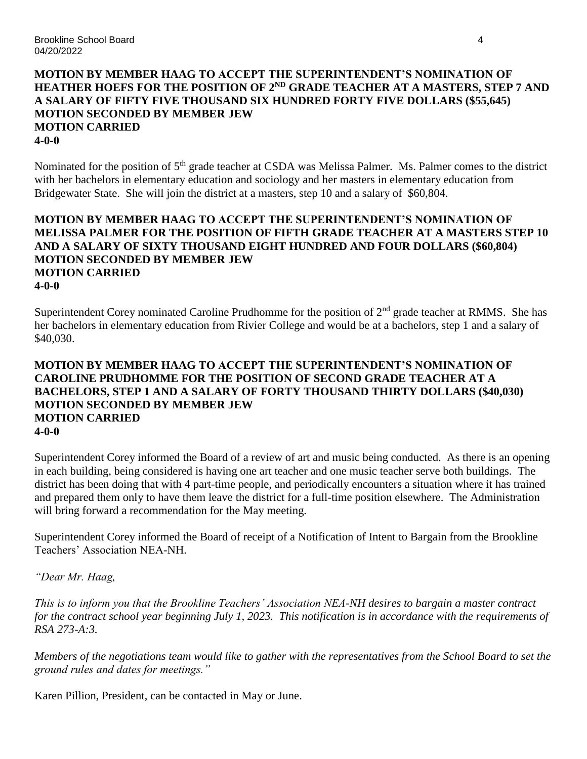## **MOTION BY MEMBER HAAG TO ACCEPT THE SUPERINTENDENT'S NOMINATION OF** HEATHER HOEFS FOR THE POSITION OF 2<sup>ND</sup> GRADE TEACHER AT A MASTERS, STEP 7 AND **A SALARY OF FIFTY FIVE THOUSAND SIX HUNDRED FORTY FIVE DOLLARS (\$55,645) MOTION SECONDED BY MEMBER JEW MOTION CARRIED 4-0-0**

Nominated for the position of 5<sup>th</sup> grade teacher at CSDA was Melissa Palmer. Ms. Palmer comes to the district with her bachelors in elementary education and sociology and her masters in elementary education from Bridgewater State. She will join the district at a masters, step 10 and a salary of \$60,804.

### **MOTION BY MEMBER HAAG TO ACCEPT THE SUPERINTENDENT'S NOMINATION OF MELISSA PALMER FOR THE POSITION OF FIFTH GRADE TEACHER AT A MASTERS STEP 10 AND A SALARY OF SIXTY THOUSAND EIGHT HUNDRED AND FOUR DOLLARS (\$60,804) MOTION SECONDED BY MEMBER JEW MOTION CARRIED 4-0-0**

Superintendent Corey nominated Caroline Prudhomme for the position of 2<sup>nd</sup> grade teacher at RMMS. She has her bachelors in elementary education from Rivier College and would be at a bachelors, step 1 and a salary of \$40,030.

#### **MOTION BY MEMBER HAAG TO ACCEPT THE SUPERINTENDENT'S NOMINATION OF CAROLINE PRUDHOMME FOR THE POSITION OF SECOND GRADE TEACHER AT A BACHELORS, STEP 1 AND A SALARY OF FORTY THOUSAND THIRTY DOLLARS (\$40,030) MOTION SECONDED BY MEMBER JEW MOTION CARRIED 4-0-0**

Superintendent Corey informed the Board of a review of art and music being conducted. As there is an opening in each building, being considered is having one art teacher and one music teacher serve both buildings. The district has been doing that with 4 part-time people, and periodically encounters a situation where it has trained and prepared them only to have them leave the district for a full-time position elsewhere. The Administration will bring forward a recommendation for the May meeting.

Superintendent Corey informed the Board of receipt of a Notification of Intent to Bargain from the Brookline Teachers' Association NEA-NH.

*"Dear Mr. Haag,*

*This is to inform you that the Brookline Teachers' Association NEA-NH desires to bargain a master contract for the contract school year beginning July 1, 2023. This notification is in accordance with the requirements of RSA 273-A:3.* 

*Members of the negotiations team would like to gather with the representatives from the School Board to set the ground rules and dates for meetings."*

Karen Pillion, President, can be contacted in May or June.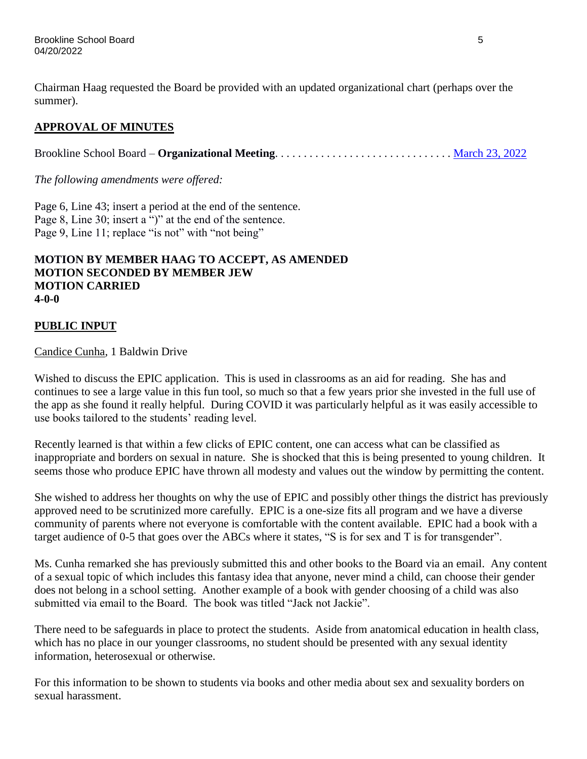Chairman Haag requested the Board be provided with an updated organizational chart (perhaps over the summer).

# **APPROVAL OF MINUTES**

Brookline School Board – **Organizational Meeting**. . . . . . . . . . . . . . . . . . . . . . . . . . . . . . . [March 23, 2022](https://www.sau41.org/docs/district/depts/112/2022-03-23-bsb-organizational%20mtg.-minutes-draft.pdf?id=2975)

*The following amendments were offered:*

Page 6, Line 43; insert a period at the end of the sentence. Page 8, Line 30; insert a ")" at the end of the sentence. Page 9, Line 11; replace "is not" with "not being"

#### **MOTION BY MEMBER HAAG TO ACCEPT, AS AMENDED MOTION SECONDED BY MEMBER JEW MOTION CARRIED 4-0-0**

## **PUBLIC INPUT**

Candice Cunha, 1 Baldwin Drive

Wished to discuss the EPIC application. This is used in classrooms as an aid for reading. She has and continues to see a large value in this fun tool, so much so that a few years prior she invested in the full use of the app as she found it really helpful. During COVID it was particularly helpful as it was easily accessible to use books tailored to the students' reading level.

Recently learned is that within a few clicks of EPIC content, one can access what can be classified as inappropriate and borders on sexual in nature. She is shocked that this is being presented to young children. It seems those who produce EPIC have thrown all modesty and values out the window by permitting the content.

She wished to address her thoughts on why the use of EPIC and possibly other things the district has previously approved need to be scrutinized more carefully. EPIC is a one-size fits all program and we have a diverse community of parents where not everyone is comfortable with the content available. EPIC had a book with a target audience of 0-5 that goes over the ABCs where it states, "S is for sex and T is for transgender".

Ms. Cunha remarked she has previously submitted this and other books to the Board via an email. Any content of a sexual topic of which includes this fantasy idea that anyone, never mind a child, can choose their gender does not belong in a school setting. Another example of a book with gender choosing of a child was also submitted via email to the Board. The book was titled "Jack not Jackie".

There need to be safeguards in place to protect the students. Aside from anatomical education in health class, which has no place in our younger classrooms, no student should be presented with any sexual identity information, heterosexual or otherwise.

For this information to be shown to students via books and other media about sex and sexuality borders on sexual harassment.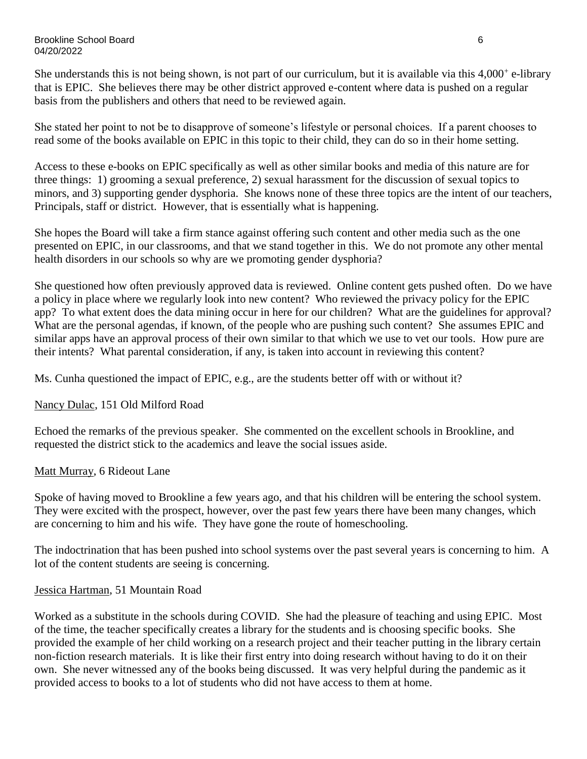Brookline School Board 6 04/20/2022

She understands this is not being shown, is not part of our curriculum, but it is available via this  $4,000^+$  e-library that is EPIC. She believes there may be other district approved e-content where data is pushed on a regular basis from the publishers and others that need to be reviewed again.

She stated her point to not be to disapprove of someone's lifestyle or personal choices. If a parent chooses to read some of the books available on EPIC in this topic to their child, they can do so in their home setting.

Access to these e-books on EPIC specifically as well as other similar books and media of this nature are for three things: 1) grooming a sexual preference, 2) sexual harassment for the discussion of sexual topics to minors, and 3) supporting gender dysphoria. She knows none of these three topics are the intent of our teachers, Principals, staff or district. However, that is essentially what is happening.

She hopes the Board will take a firm stance against offering such content and other media such as the one presented on EPIC, in our classrooms, and that we stand together in this. We do not promote any other mental health disorders in our schools so why are we promoting gender dysphoria?

She questioned how often previously approved data is reviewed. Online content gets pushed often. Do we have a policy in place where we regularly look into new content? Who reviewed the privacy policy for the EPIC app? To what extent does the data mining occur in here for our children? What are the guidelines for approval? What are the personal agendas, if known, of the people who are pushing such content? She assumes EPIC and similar apps have an approval process of their own similar to that which we use to vet our tools. How pure are their intents? What parental consideration, if any, is taken into account in reviewing this content?

Ms. Cunha questioned the impact of EPIC, e.g., are the students better off with or without it?

## Nancy Dulac, 151 Old Milford Road

Echoed the remarks of the previous speaker. She commented on the excellent schools in Brookline, and requested the district stick to the academics and leave the social issues aside.

#### Matt Murray, 6 Rideout Lane

Spoke of having moved to Brookline a few years ago, and that his children will be entering the school system. They were excited with the prospect, however, over the past few years there have been many changes, which are concerning to him and his wife. They have gone the route of homeschooling.

The indoctrination that has been pushed into school systems over the past several years is concerning to him. A lot of the content students are seeing is concerning.

#### Jessica Hartman, 51 Mountain Road

Worked as a substitute in the schools during COVID. She had the pleasure of teaching and using EPIC. Most of the time, the teacher specifically creates a library for the students and is choosing specific books. She provided the example of her child working on a research project and their teacher putting in the library certain non-fiction research materials. It is like their first entry into doing research without having to do it on their own. She never witnessed any of the books being discussed. It was very helpful during the pandemic as it provided access to books to a lot of students who did not have access to them at home.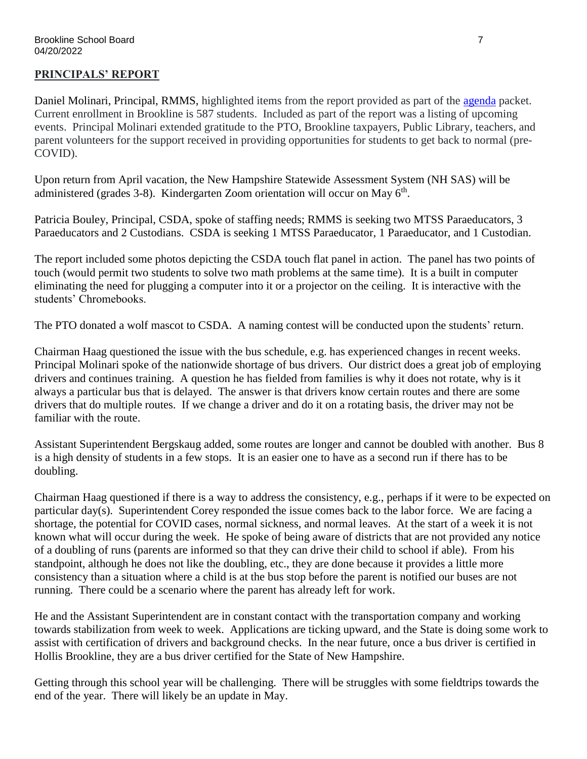## **PRINCIPALS' REPORT**

Daniel Molinari, Principal, RMMS, highlighted items from the report provided as part of the [agenda](https://www.sau41.org/docs/district/depts/112/bsb%20agenda%20packet%204-20-22.pdf?id=3034) packet. Current enrollment in Brookline is 587 students. Included as part of the report was a listing of upcoming events. Principal Molinari extended gratitude to the PTO, Brookline taxpayers, Public Library, teachers, and parent volunteers for the support received in providing opportunities for students to get back to normal (pre-COVID).

Upon return from April vacation, the New Hampshire Statewide Assessment System (NH SAS) will be administered (grades 3-8). Kindergarten Zoom orientation will occur on May  $6<sup>th</sup>$ .

Patricia Bouley, Principal, CSDA, spoke of staffing needs; RMMS is seeking two MTSS Paraeducators, 3 Paraeducators and 2 Custodians. CSDA is seeking 1 MTSS Paraeducator, 1 Paraeducator, and 1 Custodian.

The report included some photos depicting the CSDA touch flat panel in action. The panel has two points of touch (would permit two students to solve two math problems at the same time). It is a built in computer eliminating the need for plugging a computer into it or a projector on the ceiling. It is interactive with the students' Chromebooks.

The PTO donated a wolf mascot to CSDA. A naming contest will be conducted upon the students' return.

Chairman Haag questioned the issue with the bus schedule, e.g. has experienced changes in recent weeks. Principal Molinari spoke of the nationwide shortage of bus drivers. Our district does a great job of employing drivers and continues training. A question he has fielded from families is why it does not rotate, why is it always a particular bus that is delayed. The answer is that drivers know certain routes and there are some drivers that do multiple routes. If we change a driver and do it on a rotating basis, the driver may not be familiar with the route.

Assistant Superintendent Bergskaug added, some routes are longer and cannot be doubled with another. Bus 8 is a high density of students in a few stops. It is an easier one to have as a second run if there has to be doubling.

Chairman Haag questioned if there is a way to address the consistency, e.g., perhaps if it were to be expected on particular day(s). Superintendent Corey responded the issue comes back to the labor force. We are facing a shortage, the potential for COVID cases, normal sickness, and normal leaves. At the start of a week it is not known what will occur during the week. He spoke of being aware of districts that are not provided any notice of a doubling of runs (parents are informed so that they can drive their child to school if able). From his standpoint, although he does not like the doubling, etc., they are done because it provides a little more consistency than a situation where a child is at the bus stop before the parent is notified our buses are not running. There could be a scenario where the parent has already left for work.

He and the Assistant Superintendent are in constant contact with the transportation company and working towards stabilization from week to week. Applications are ticking upward, and the State is doing some work to assist with certification of drivers and background checks. In the near future, once a bus driver is certified in Hollis Brookline, they are a bus driver certified for the State of New Hampshire.

Getting through this school year will be challenging. There will be struggles with some fieldtrips towards the end of the year. There will likely be an update in May.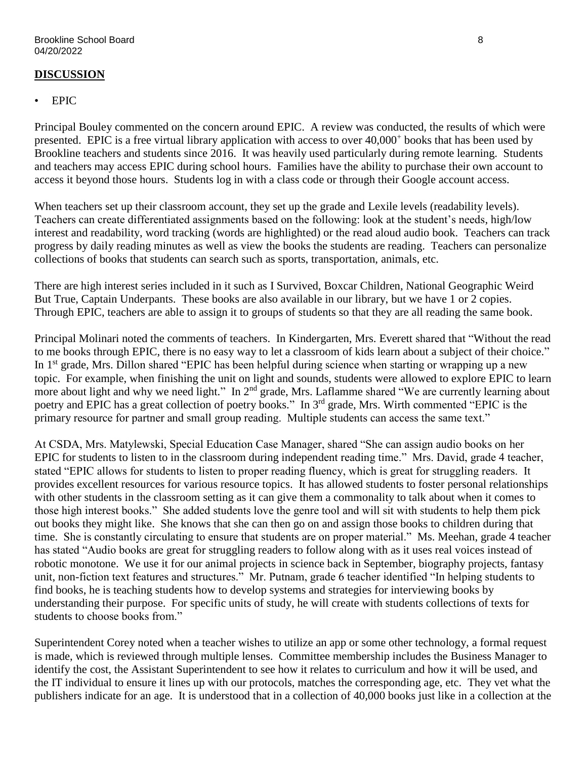## **DISCUSSION**

## • EPIC

Principal Bouley commented on the concern around EPIC. A review was conducted, the results of which were presented. EPIC is a free virtual library application with access to over 40,000<sup>+</sup> books that has been used by Brookline teachers and students since 2016. It was heavily used particularly during remote learning. Students and teachers may access EPIC during school hours. Families have the ability to purchase their own account to access it beyond those hours. Students log in with a class code or through their Google account access.

When teachers set up their classroom account, they set up the grade and Lexile levels (readability levels). Teachers can create differentiated assignments based on the following: look at the student's needs, high/low interest and readability, word tracking (words are highlighted) or the read aloud audio book. Teachers can track progress by daily reading minutes as well as view the books the students are reading. Teachers can personalize collections of books that students can search such as sports, transportation, animals, etc.

There are high interest series included in it such as I Survived, Boxcar Children, National Geographic Weird But True, Captain Underpants. These books are also available in our library, but we have 1 or 2 copies. Through EPIC, teachers are able to assign it to groups of students so that they are all reading the same book.

Principal Molinari noted the comments of teachers. In Kindergarten, Mrs. Everett shared that "Without the read to me books through EPIC, there is no easy way to let a classroom of kids learn about a subject of their choice." In 1<sup>st</sup> grade, Mrs. Dillon shared "EPIC has been helpful during science when starting or wrapping up a new topic. For example, when finishing the unit on light and sounds, students were allowed to explore EPIC to learn more about light and why we need light." In 2<sup>nd</sup> grade, Mrs. Laflamme shared "We are currently learning about poetry and EPIC has a great collection of poetry books." In 3<sup>rd</sup> grade, Mrs. Wirth commented "EPIC is the primary resource for partner and small group reading. Multiple students can access the same text."

At CSDA, Mrs. Matylewski, Special Education Case Manager, shared "She can assign audio books on her EPIC for students to listen to in the classroom during independent reading time." Mrs. David, grade 4 teacher, stated "EPIC allows for students to listen to proper reading fluency, which is great for struggling readers. It provides excellent resources for various resource topics. It has allowed students to foster personal relationships with other students in the classroom setting as it can give them a commonality to talk about when it comes to those high interest books." She added students love the genre tool and will sit with students to help them pick out books they might like. She knows that she can then go on and assign those books to children during that time. She is constantly circulating to ensure that students are on proper material." Ms. Meehan, grade 4 teacher has stated "Audio books are great for struggling readers to follow along with as it uses real voices instead of robotic monotone. We use it for our animal projects in science back in September, biography projects, fantasy unit, non-fiction text features and structures." Mr. Putnam, grade 6 teacher identified "In helping students to find books, he is teaching students how to develop systems and strategies for interviewing books by understanding their purpose. For specific units of study, he will create with students collections of texts for students to choose books from."

Superintendent Corey noted when a teacher wishes to utilize an app or some other technology, a formal request is made, which is reviewed through multiple lenses. Committee membership includes the Business Manager to identify the cost, the Assistant Superintendent to see how it relates to curriculum and how it will be used, and the IT individual to ensure it lines up with our protocols, matches the corresponding age, etc. They vet what the publishers indicate for an age. It is understood that in a collection of 40,000 books just like in a collection at the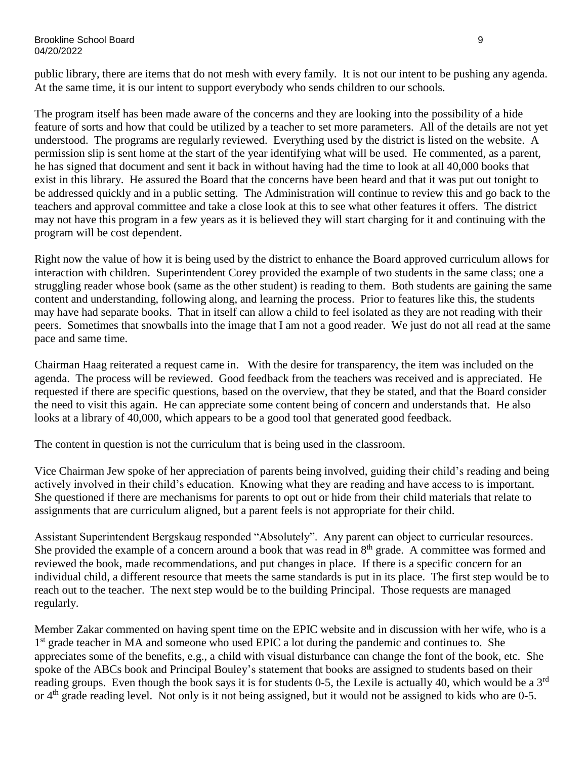public library, there are items that do not mesh with every family. It is not our intent to be pushing any agenda. At the same time, it is our intent to support everybody who sends children to our schools.

The program itself has been made aware of the concerns and they are looking into the possibility of a hide feature of sorts and how that could be utilized by a teacher to set more parameters. All of the details are not yet understood. The programs are regularly reviewed. Everything used by the district is listed on the website. A permission slip is sent home at the start of the year identifying what will be used. He commented, as a parent, he has signed that document and sent it back in without having had the time to look at all 40,000 books that exist in this library. He assured the Board that the concerns have been heard and that it was put out tonight to be addressed quickly and in a public setting. The Administration will continue to review this and go back to the teachers and approval committee and take a close look at this to see what other features it offers. The district may not have this program in a few years as it is believed they will start charging for it and continuing with the program will be cost dependent.

Right now the value of how it is being used by the district to enhance the Board approved curriculum allows for interaction with children. Superintendent Corey provided the example of two students in the same class; one a struggling reader whose book (same as the other student) is reading to them. Both students are gaining the same content and understanding, following along, and learning the process. Prior to features like this, the students may have had separate books. That in itself can allow a child to feel isolated as they are not reading with their peers. Sometimes that snowballs into the image that I am not a good reader. We just do not all read at the same pace and same time.

Chairman Haag reiterated a request came in. With the desire for transparency, the item was included on the agenda. The process will be reviewed. Good feedback from the teachers was received and is appreciated. He requested if there are specific questions, based on the overview, that they be stated, and that the Board consider the need to visit this again. He can appreciate some content being of concern and understands that. He also looks at a library of 40,000, which appears to be a good tool that generated good feedback.

The content in question is not the curriculum that is being used in the classroom.

Vice Chairman Jew spoke of her appreciation of parents being involved, guiding their child's reading and being actively involved in their child's education. Knowing what they are reading and have access to is important. She questioned if there are mechanisms for parents to opt out or hide from their child materials that relate to assignments that are curriculum aligned, but a parent feels is not appropriate for their child.

Assistant Superintendent Bergskaug responded "Absolutely". Any parent can object to curricular resources. She provided the example of a concern around a book that was read in  $8<sup>th</sup>$  grade. A committee was formed and reviewed the book, made recommendations, and put changes in place. If there is a specific concern for an individual child, a different resource that meets the same standards is put in its place. The first step would be to reach out to the teacher. The next step would be to the building Principal. Those requests are managed regularly.

Member Zakar commented on having spent time on the EPIC website and in discussion with her wife, who is a 1<sup>st</sup> grade teacher in MA and someone who used EPIC a lot during the pandemic and continues to. She appreciates some of the benefits, e.g., a child with visual disturbance can change the font of the book, etc. She spoke of the ABCs book and Principal Bouley's statement that books are assigned to students based on their reading groups. Even though the book says it is for students 0-5, the Lexile is actually 40, which would be a  $3<sup>rd</sup>$ or 4<sup>th</sup> grade reading level. Not only is it not being assigned, but it would not be assigned to kids who are 0-5.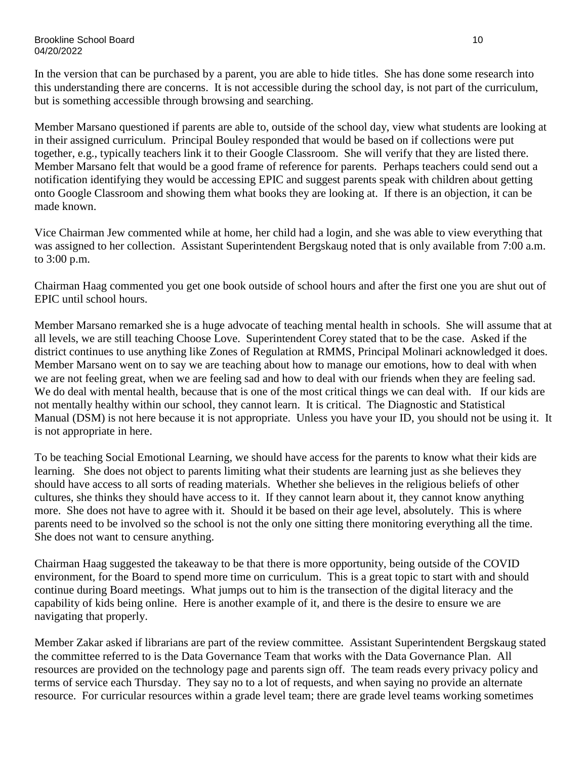In the version that can be purchased by a parent, you are able to hide titles. She has done some research into this understanding there are concerns. It is not accessible during the school day, is not part of the curriculum, but is something accessible through browsing and searching.

Member Marsano questioned if parents are able to, outside of the school day, view what students are looking at in their assigned curriculum. Principal Bouley responded that would be based on if collections were put together, e.g., typically teachers link it to their Google Classroom. She will verify that they are listed there. Member Marsano felt that would be a good frame of reference for parents. Perhaps teachers could send out a notification identifying they would be accessing EPIC and suggest parents speak with children about getting onto Google Classroom and showing them what books they are looking at. If there is an objection, it can be made known.

Vice Chairman Jew commented while at home, her child had a login, and she was able to view everything that was assigned to her collection. Assistant Superintendent Bergskaug noted that is only available from 7:00 a.m. to 3:00 p.m.

Chairman Haag commented you get one book outside of school hours and after the first one you are shut out of EPIC until school hours.

Member Marsano remarked she is a huge advocate of teaching mental health in schools. She will assume that at all levels, we are still teaching Choose Love. Superintendent Corey stated that to be the case. Asked if the district continues to use anything like Zones of Regulation at RMMS, Principal Molinari acknowledged it does. Member Marsano went on to say we are teaching about how to manage our emotions, how to deal with when we are not feeling great, when we are feeling sad and how to deal with our friends when they are feeling sad. We do deal with mental health, because that is one of the most critical things we can deal with. If our kids are not mentally healthy within our school, they cannot learn. It is critical. The Diagnostic and Statistical Manual (DSM) is not here because it is not appropriate. Unless you have your ID, you should not be using it. It is not appropriate in here.

To be teaching Social Emotional Learning, we should have access for the parents to know what their kids are learning. She does not object to parents limiting what their students are learning just as she believes they should have access to all sorts of reading materials. Whether she believes in the religious beliefs of other cultures, she thinks they should have access to it. If they cannot learn about it, they cannot know anything more. She does not have to agree with it. Should it be based on their age level, absolutely. This is where parents need to be involved so the school is not the only one sitting there monitoring everything all the time. She does not want to censure anything.

Chairman Haag suggested the takeaway to be that there is more opportunity, being outside of the COVID environment, for the Board to spend more time on curriculum. This is a great topic to start with and should continue during Board meetings. What jumps out to him is the transection of the digital literacy and the capability of kids being online. Here is another example of it, and there is the desire to ensure we are navigating that properly.

Member Zakar asked if librarians are part of the review committee. Assistant Superintendent Bergskaug stated the committee referred to is the Data Governance Team that works with the Data Governance Plan. All resources are provided on the technology page and parents sign off. The team reads every privacy policy and terms of service each Thursday. They say no to a lot of requests, and when saying no provide an alternate resource. For curricular resources within a grade level team; there are grade level teams working sometimes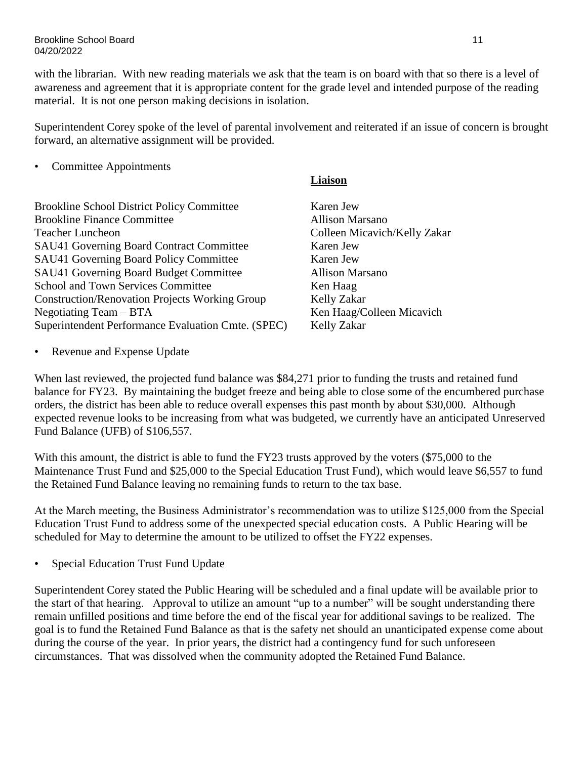#### Brookline School Board 11 04/20/2022

with the librarian. With new reading materials we ask that the team is on board with that so there is a level of awareness and agreement that it is appropriate content for the grade level and intended purpose of the reading material. It is not one person making decisions in isolation.

Superintendent Corey spoke of the level of parental involvement and reiterated if an issue of concern is brought forward, an alternative assignment will be provided.

### • Committee Appointments

Brookline School District Policy Committee Karen Jew Brookline Finance Committee **Allison Marsano** Teacher Luncheon Colleen Micavich/Kelly Zakar SAU41 Governing Board Contract Committee Karen Jew SAU41 Governing Board Policy Committee Karen Jew SAU41 Governing Board Budget Committee Allison Marsano School and Town Services Committee Ken Haag Construction/Renovation Projects Working Group Kelly Zakar Negotiating Team – BTA Ken Haag/Colleen Micavich Superintendent Performance Evaluation Cmte. (SPEC) Kelly Zakar

### **Liaison**

• Revenue and Expense Update

When last reviewed, the projected fund balance was \$84,271 prior to funding the trusts and retained fund balance for FY23. By maintaining the budget freeze and being able to close some of the encumbered purchase orders, the district has been able to reduce overall expenses this past month by about \$30,000. Although expected revenue looks to be increasing from what was budgeted, we currently have an anticipated Unreserved Fund Balance (UFB) of \$106,557.

With this amount, the district is able to fund the FY23 trusts approved by the voters (\$75,000 to the Maintenance Trust Fund and \$25,000 to the Special Education Trust Fund), which would leave \$6,557 to fund the Retained Fund Balance leaving no remaining funds to return to the tax base.

At the March meeting, the Business Administrator's recommendation was to utilize \$125,000 from the Special Education Trust Fund to address some of the unexpected special education costs. A Public Hearing will be scheduled for May to determine the amount to be utilized to offset the FY22 expenses.

• Special Education Trust Fund Update

Superintendent Corey stated the Public Hearing will be scheduled and a final update will be available prior to the start of that hearing. Approval to utilize an amount "up to a number" will be sought understanding there remain unfilled positions and time before the end of the fiscal year for additional savings to be realized. The goal is to fund the Retained Fund Balance as that is the safety net should an unanticipated expense come about during the course of the year. In prior years, the district had a contingency fund for such unforeseen circumstances. That was dissolved when the community adopted the Retained Fund Balance.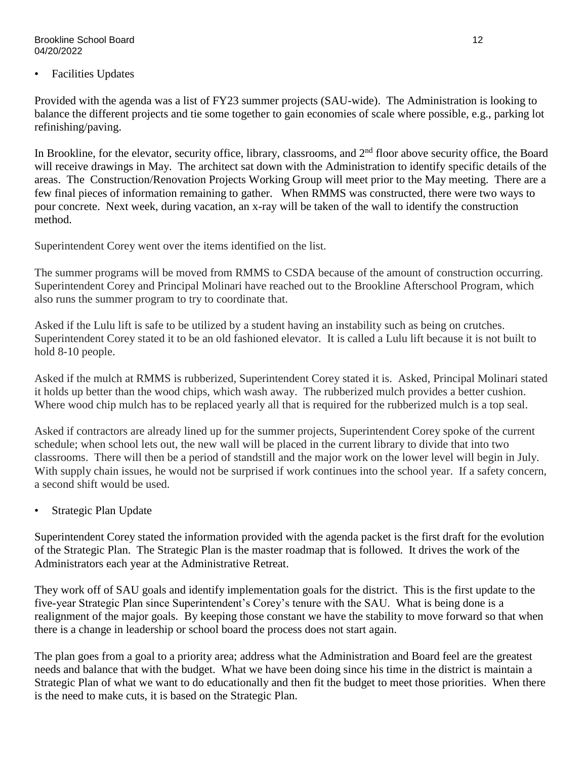#### Brookline School Board 12 04/20/2022

• Facilities Updates

Provided with the agenda was a list of FY23 summer projects (SAU-wide). The Administration is looking to balance the different projects and tie some together to gain economies of scale where possible, e.g., parking lot refinishing/paving.

In Brookline, for the elevator, security office, library, classrooms, and 2<sup>nd</sup> floor above security office, the Board will receive drawings in May. The architect sat down with the Administration to identify specific details of the areas. The Construction/Renovation Projects Working Group will meet prior to the May meeting. There are a few final pieces of information remaining to gather. When RMMS was constructed, there were two ways to pour concrete. Next week, during vacation, an x-ray will be taken of the wall to identify the construction method.

Superintendent Corey went over the items identified on the list.

The summer programs will be moved from RMMS to CSDA because of the amount of construction occurring. Superintendent Corey and Principal Molinari have reached out to the Brookline Afterschool Program, which also runs the summer program to try to coordinate that.

Asked if the Lulu lift is safe to be utilized by a student having an instability such as being on crutches. Superintendent Corey stated it to be an old fashioned elevator. It is called a Lulu lift because it is not built to hold 8-10 people.

Asked if the mulch at RMMS is rubberized, Superintendent Corey stated it is. Asked, Principal Molinari stated it holds up better than the wood chips, which wash away. The rubberized mulch provides a better cushion. Where wood chip mulch has to be replaced yearly all that is required for the rubberized mulch is a top seal.

Asked if contractors are already lined up for the summer projects, Superintendent Corey spoke of the current schedule; when school lets out, the new wall will be placed in the current library to divide that into two classrooms. There will then be a period of standstill and the major work on the lower level will begin in July. With supply chain issues, he would not be surprised if work continues into the school year. If a safety concern, a second shift would be used.

• Strategic Plan Update

Superintendent Corey stated the information provided with the agenda packet is the first draft for the evolution of the Strategic Plan. The Strategic Plan is the master roadmap that is followed. It drives the work of the Administrators each year at the Administrative Retreat.

They work off of SAU goals and identify implementation goals for the district. This is the first update to the five-year Strategic Plan since Superintendent's Corey's tenure with the SAU. What is being done is a realignment of the major goals. By keeping those constant we have the stability to move forward so that when there is a change in leadership or school board the process does not start again.

The plan goes from a goal to a priority area; address what the Administration and Board feel are the greatest needs and balance that with the budget. What we have been doing since his time in the district is maintain a Strategic Plan of what we want to do educationally and then fit the budget to meet those priorities. When there is the need to make cuts, it is based on the Strategic Plan.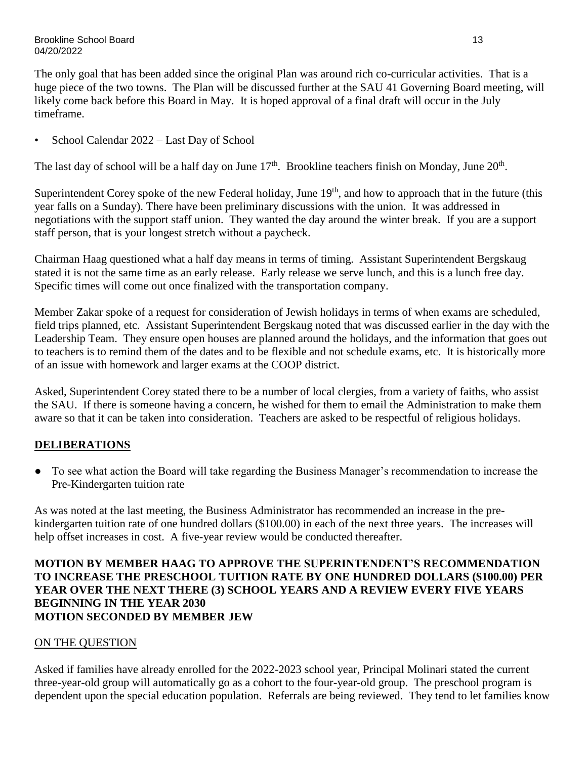The only goal that has been added since the original Plan was around rich co-curricular activities. That is a huge piece of the two towns. The Plan will be discussed further at the SAU 41 Governing Board meeting, will likely come back before this Board in May. It is hoped approval of a final draft will occur in the July timeframe.

• School Calendar 2022 – Last Day of School

The last day of school will be a half day on June  $17<sup>th</sup>$ . Brookline teachers finish on Monday, June  $20<sup>th</sup>$ .

Superintendent Corey spoke of the new Federal holiday, June 19<sup>th</sup>, and how to approach that in the future (this year falls on a Sunday). There have been preliminary discussions with the union. It was addressed in negotiations with the support staff union. They wanted the day around the winter break. If you are a support staff person, that is your longest stretch without a paycheck.

Chairman Haag questioned what a half day means in terms of timing. Assistant Superintendent Bergskaug stated it is not the same time as an early release. Early release we serve lunch, and this is a lunch free day. Specific times will come out once finalized with the transportation company.

Member Zakar spoke of a request for consideration of Jewish holidays in terms of when exams are scheduled, field trips planned, etc. Assistant Superintendent Bergskaug noted that was discussed earlier in the day with the Leadership Team. They ensure open houses are planned around the holidays, and the information that goes out to teachers is to remind them of the dates and to be flexible and not schedule exams, etc. It is historically more of an issue with homework and larger exams at the COOP district.

Asked, Superintendent Corey stated there to be a number of local clergies, from a variety of faiths, who assist the SAU. If there is someone having a concern, he wished for them to email the Administration to make them aware so that it can be taken into consideration. Teachers are asked to be respectful of religious holidays.

# **DELIBERATIONS**

**●** To see what action the Board will take regarding the Business Manager's recommendation to increase the Pre-Kindergarten tuition rate

As was noted at the last meeting, the Business Administrator has recommended an increase in the prekindergarten tuition rate of one hundred dollars (\$100.00) in each of the next three years. The increases will help offset increases in cost. A five-year review would be conducted thereafter.

## **MOTION BY MEMBER HAAG TO APPROVE THE SUPERINTENDENT'S RECOMMENDATION TO INCREASE THE PRESCHOOL TUITION RATE BY ONE HUNDRED DOLLARS (\$100.00) PER YEAR OVER THE NEXT THERE (3) SCHOOL YEARS AND A REVIEW EVERY FIVE YEARS BEGINNING IN THE YEAR 2030 MOTION SECONDED BY MEMBER JEW**

# ON THE QUESTION

Asked if families have already enrolled for the 2022-2023 school year, Principal Molinari stated the current three-year-old group will automatically go as a cohort to the four-year-old group. The preschool program is dependent upon the special education population. Referrals are being reviewed. They tend to let families know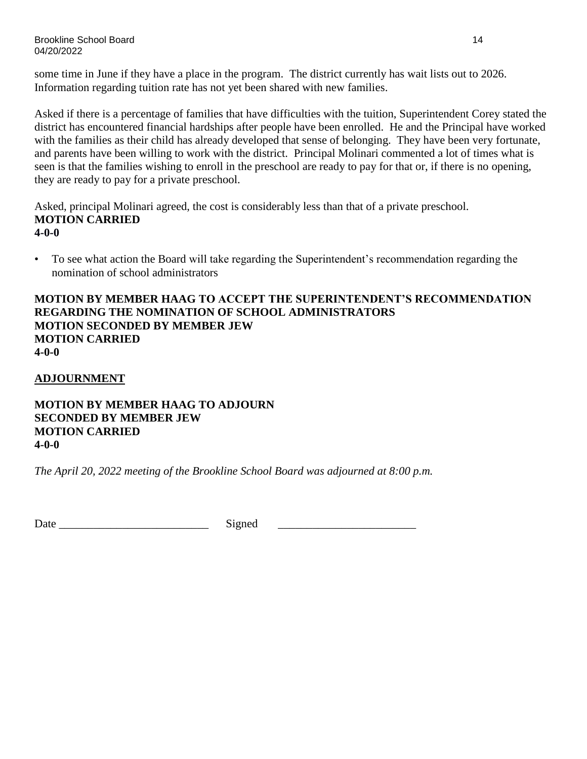Brookline School Board 14 04/20/2022

some time in June if they have a place in the program. The district currently has wait lists out to 2026. Information regarding tuition rate has not yet been shared with new families.

Asked if there is a percentage of families that have difficulties with the tuition, Superintendent Corey stated the district has encountered financial hardships after people have been enrolled. He and the Principal have worked with the families as their child has already developed that sense of belonging. They have been very fortunate, and parents have been willing to work with the district. Principal Molinari commented a lot of times what is seen is that the families wishing to enroll in the preschool are ready to pay for that or, if there is no opening, they are ready to pay for a private preschool.

Asked, principal Molinari agreed, the cost is considerably less than that of a private preschool. **MOTION CARRIED 4-0-0**

• To see what action the Board will take regarding the Superintendent's recommendation regarding the nomination of school administrators

**MOTION BY MEMBER HAAG TO ACCEPT THE SUPERINTENDENT'S RECOMMENDATION REGARDING THE NOMINATION OF SCHOOL ADMINISTRATORS MOTION SECONDED BY MEMBER JEW MOTION CARRIED 4-0-0**

**ADJOURNMENT**

**MOTION BY MEMBER HAAG TO ADJOURN SECONDED BY MEMBER JEW MOTION CARRIED 4-0-0**

*The April 20, 2022 meeting of the Brookline School Board was adjourned at 8:00 p.m.*

Date Signed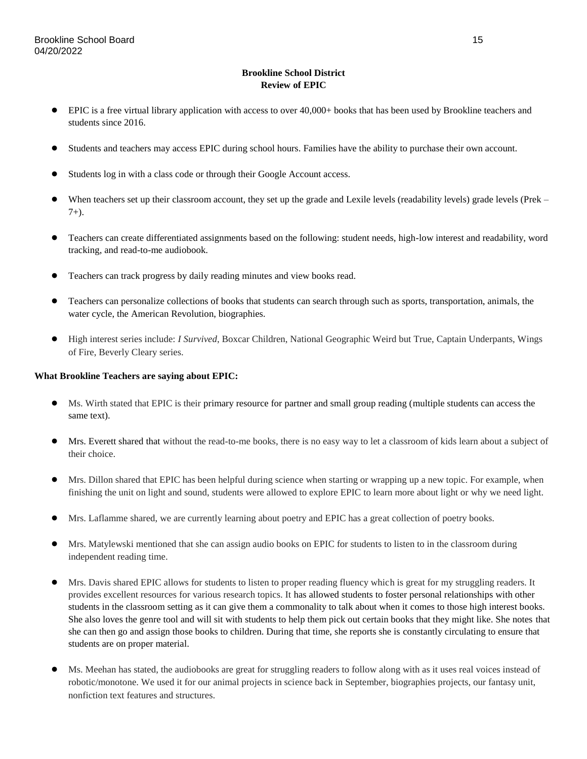#### **Brookline School District Review of EPIC**

- EPIC is a free virtual library application with access to over 40,000+ books that has been used by Brookline teachers and students since 2016.
- Students and teachers may access EPIC during school hours. Families have the ability to purchase their own account.
- Students log in with a class code or through their Google Account access.
- When teachers set up their classroom account, they set up the grade and Lexile levels (readability levels) grade levels (Prek  $7+$ ).
- Teachers can create differentiated assignments based on the following: student needs, high-low interest and readability, word tracking, and read-to-me audiobook.
- Teachers can track progress by daily reading minutes and view books read.
- Teachers can personalize collections of books that students can search through such as sports, transportation, animals, the water cycle, the American Revolution, biographies.
- High interest series include: *I Survived*, Boxcar Children, National Geographic Weird but True, Captain Underpants, Wings of Fire, Beverly Cleary series.

#### **What Brookline Teachers are saying about EPIC:**

- Ms. Wirth stated that EPIC is their primary resource for partner and small group reading (multiple students can access the same text).
- Mrs. Everett shared that without the read-to-me books, there is no easy way to let a classroom of kids learn about a subject of their choice.
- Mrs. Dillon shared that EPIC has been helpful during science when starting or wrapping up a new topic. For example, when finishing the unit on light and sound, students were allowed to explore EPIC to learn more about light or why we need light.
- Mrs. Laflamme shared, we are currently learning about poetry and EPIC has a great collection of poetry books.
- Mrs. Matylewski mentioned that she can assign audio books on EPIC for students to listen to in the classroom during independent reading time.
- Mrs. Davis shared EPIC allows for students to listen to proper reading fluency which is great for my struggling readers. It provides excellent resources for various research topics. It has allowed students to foster personal relationships with other students in the classroom setting as it can give them a commonality to talk about when it comes to those high interest books. She also loves the genre tool and will sit with students to help them pick out certain books that they might like. She notes that she can then go and assign those books to children. During that time, she reports she is constantly circulating to ensure that students are on proper material.
- Ms. Meehan has stated, the audiobooks are great for struggling readers to follow along with as it uses real voices instead of robotic/monotone. We used it for our animal projects in science back in September, biographies projects, our fantasy unit, nonfiction text features and structures.